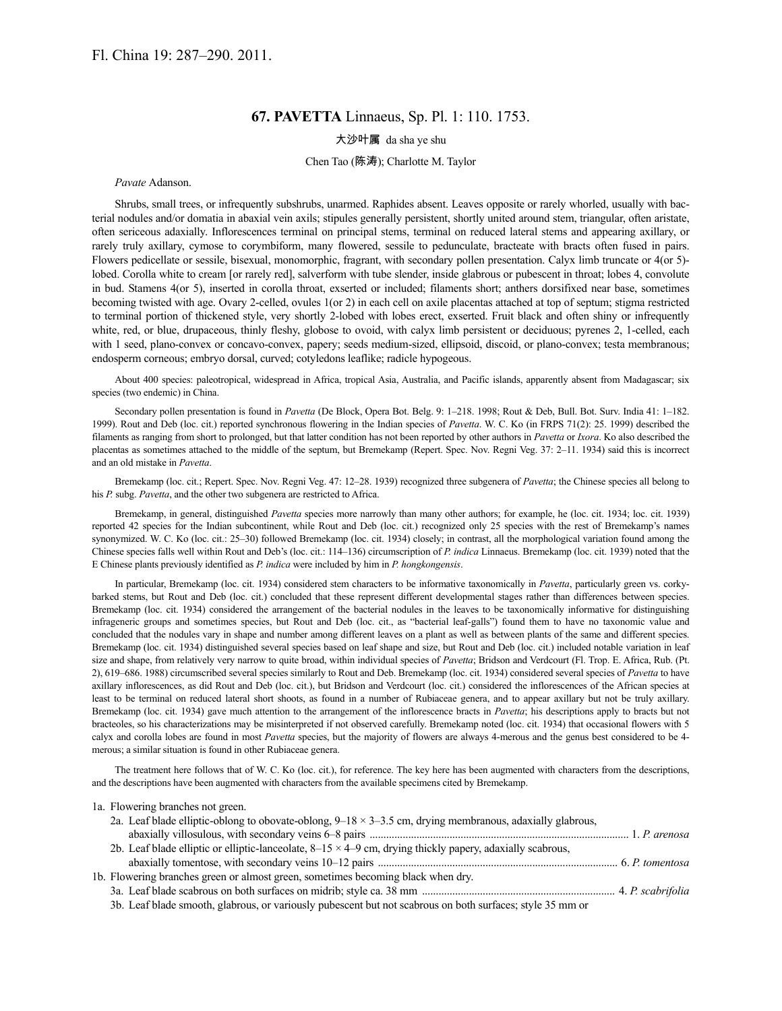# **67. PAVETTA** Linnaeus, Sp. Pl. 1: 110. 1753.

## 大沙叶属 da sha ye shu

### Chen Tao (陈涛); Charlotte M. Taylor

*Pavate* Adanson.

Shrubs, small trees, or infrequently subshrubs, unarmed. Raphides absent. Leaves opposite or rarely whorled, usually with bacterial nodules and/or domatia in abaxial vein axils; stipules generally persistent, shortly united around stem, triangular, often aristate, often sericeous adaxially. Inflorescences terminal on principal stems, terminal on reduced lateral stems and appearing axillary, or rarely truly axillary, cymose to corymbiform, many flowered, sessile to pedunculate, bracteate with bracts often fused in pairs. Flowers pedicellate or sessile, bisexual, monomorphic, fragrant, with secondary pollen presentation. Calyx limb truncate or 4(or 5) lobed. Corolla white to cream [or rarely red], salverform with tube slender, inside glabrous or pubescent in throat; lobes 4, convolute in bud. Stamens 4(or 5), inserted in corolla throat, exserted or included; filaments short; anthers dorsifixed near base, sometimes becoming twisted with age. Ovary 2-celled, ovules 1(or 2) in each cell on axile placentas attached at top of septum; stigma restricted to terminal portion of thickened style, very shortly 2-lobed with lobes erect, exserted. Fruit black and often shiny or infrequently white, red, or blue, drupaceous, thinly fleshy, globose to ovoid, with calyx limb persistent or deciduous; pyrenes 2, 1-celled, each with 1 seed, plano-convex or concavo-convex, papery; seeds medium-sized, ellipsoid, discoid, or plano-convex; testa membranous; endosperm corneous; embryo dorsal, curved; cotyledons leaflike; radicle hypogeous.

About 400 species: paleotropical, widespread in Africa, tropical Asia, Australia, and Pacific islands, apparently absent from Madagascar; six species (two endemic) in China.

Secondary pollen presentation is found in *Pavetta* (De Block, Opera Bot. Belg. 9: 1–218. 1998; Rout & Deb, Bull. Bot. Surv. India 41: 1–182. 1999). Rout and Deb (loc. cit.) reported synchronous flowering in the Indian species of *Pavetta*. W. C. Ko (in FRPS 71(2): 25. 1999) described the filaments as ranging from short to prolonged, but that latter condition has not been reported by other authors in *Pavetta* or *Ixora*. Ko also described the placentas as sometimes attached to the middle of the septum, but Bremekamp (Repert. Spec. Nov. Regni Veg. 37: 2–11. 1934) said this is incorrect and an old mistake in *Pavetta*.

Bremekamp (loc. cit.; Repert. Spec. Nov. Regni Veg. 47: 12–28. 1939) recognized three subgenera of *Pavetta*; the Chinese species all belong to his *P.* subg. *Pavetta*, and the other two subgenera are restricted to Africa.

Bremekamp, in general, distinguished *Pavetta* species more narrowly than many other authors; for example, he (loc. cit. 1934; loc. cit. 1939) reported 42 species for the Indian subcontinent, while Rout and Deb (loc. cit.) recognized only 25 species with the rest of Bremekamp's names synonymized. W. C. Ko (loc. cit.: 25–30) followed Bremekamp (loc. cit. 1934) closely; in contrast, all the morphological variation found among the Chinese species falls well within Rout and Deb's (loc. cit.: 114–136) circumscription of *P. indica* Linnaeus. Bremekamp (loc. cit. 1939) noted that the E Chinese plants previously identified as *P. indica* were included by him in *P. hongkongensis*.

In particular, Bremekamp (loc. cit. 1934) considered stem characters to be informative taxonomically in *Pavetta*, particularly green vs. corkybarked stems, but Rout and Deb (loc. cit.) concluded that these represent different developmental stages rather than differences between species. Bremekamp (loc. cit. 1934) considered the arrangement of the bacterial nodules in the leaves to be taxonomically informative for distinguishing infrageneric groups and sometimes species, but Rout and Deb (loc. cit., as "bacterial leaf-galls") found them to have no taxonomic value and concluded that the nodules vary in shape and number among different leaves on a plant as well as between plants of the same and different species. Bremekamp (loc. cit. 1934) distinguished several species based on leaf shape and size, but Rout and Deb (loc. cit.) included notable variation in leaf size and shape, from relatively very narrow to quite broad, within individual species of *Pavetta*; Bridson and Verdcourt (Fl. Trop. E. Africa, Rub. (Pt. 2), 619–686. 1988) circumscribed several species similarly to Rout and Deb. Bremekamp (loc. cit. 1934) considered several species of *Pavetta* to have axillary inflorescences, as did Rout and Deb (loc. cit.), but Bridson and Verdcourt (loc. cit.) considered the inflorescences of the African species at least to be terminal on reduced lateral short shoots, as found in a number of Rubiaceae genera, and to appear axillary but not be truly axillary. Bremekamp (loc. cit. 1934) gave much attention to the arrangement of the inflorescence bracts in *Pavetta*; his descriptions apply to bracts but not bracteoles, so his characterizations may be misinterpreted if not observed carefully. Bremekamp noted (loc. cit. 1934) that occasional flowers with 5 calyx and corolla lobes are found in most *Pavetta* species, but the majority of flowers are always 4-merous and the genus best considered to be 4 merous; a similar situation is found in other Rubiaceae genera.

The treatment here follows that of W. C. Ko (loc. cit.), for reference. The key here has been augmented with characters from the descriptions, and the descriptions have been augmented with characters from the available specimens cited by Bremekamp.

1a. Flowering branches not green. 2a. Leaf blade elliptic-oblong to obovate-oblong,  $9-18 \times 3-3.5$  cm, drying membranous, adaxially glabrous, abaxially villosulous, with secondary veins 6–8 pairs .............................................................................................. 1. *P. arenosa* 2b. Leaf blade elliptic or elliptic-lanceolate,  $8-15 \times 4-9$  cm, drying thickly papery, adaxially scabrous, abaxially tomentose, with secondary veins 10–12 pairs ....................................................................................... 6. *P. tomentosa* 1b. Flowering branches green or almost green, sometimes becoming black when dry. 3a. Leaf blade scabrous on both surfaces on midrib; style ca. 38 mm ...................................................................... 4. *P. scabrifolia* 3b. Leaf blade smooth, glabrous, or variously pubescent but not scabrous on both surfaces; style 35 mm or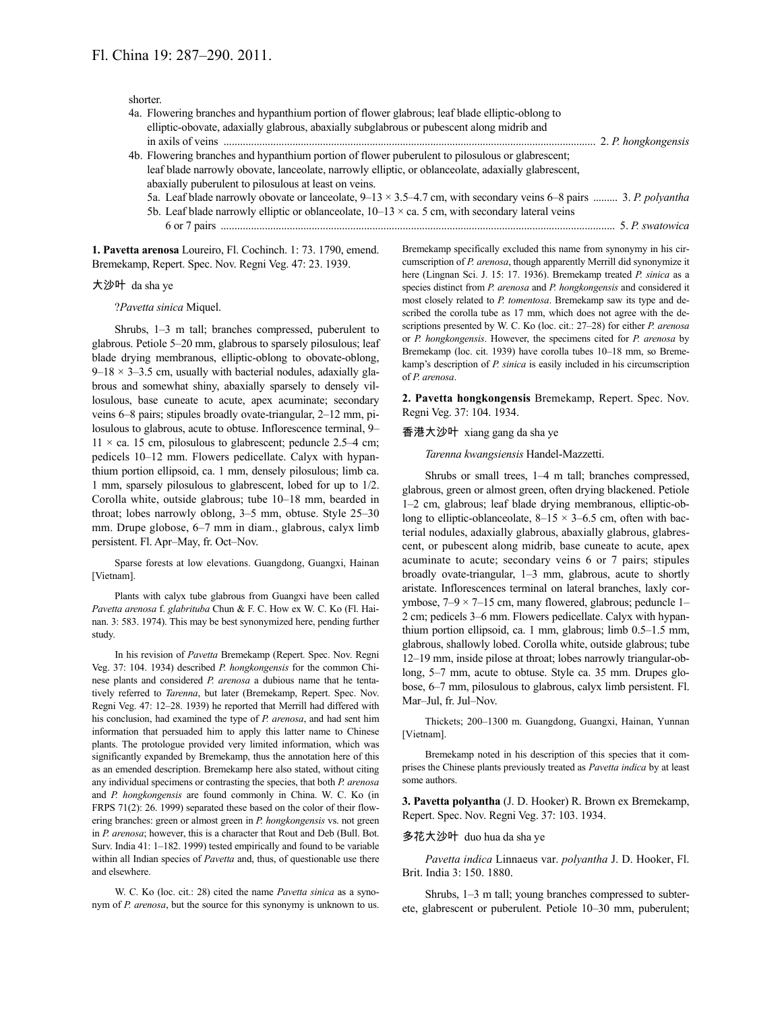shorter.

| 4a. Flowering branches and hypanthium portion of flower glabrous; leaf blade elliptic-oblong to                          |  |
|--------------------------------------------------------------------------------------------------------------------------|--|
| elliptic-obovate, adaxially glabrous, abaxially subglabrous or pubescent along midrib and                                |  |
|                                                                                                                          |  |
| 4b. Flowering branches and hypanthium portion of flower puberulent to pilosulous or glabrescent;                         |  |
| leaf blade narrowly obovate, lanceolate, narrowly elliptic, or oblanceolate, adaxially glabrescent,                      |  |
| abaxially puberulent to pilosulous at least on veins.                                                                    |  |
| 5a. Leaf blade narrowly obovate or lanceolate, $9-13 \times 3.5-4.7$ cm, with secondary veins 6-8 pairs  3. P. polyantha |  |
| 5b. Leaf blade narrowly elliptic or oblanceolate, $10-13 \times$ ca. 5 cm, with secondary lateral veins                  |  |
|                                                                                                                          |  |
|                                                                                                                          |  |

**1. Pavetta arenosa** Loureiro, Fl. Cochinch. 1: 73. 1790, emend. Bremekamp, Repert. Spec. Nov. Regni Veg. 47: 23. 1939.

#### 大沙叶 da sha ye

?*Pavetta sinica* Miquel.

Shrubs, 1–3 m tall; branches compressed, puberulent to glabrous. Petiole 5–20 mm, glabrous to sparsely pilosulous; leaf blade drying membranous, elliptic-oblong to obovate-oblong,  $9-18 \times 3-3.5$  cm, usually with bacterial nodules, adaxially glabrous and somewhat shiny, abaxially sparsely to densely villosulous, base cuneate to acute, apex acuminate; secondary veins 6–8 pairs; stipules broadly ovate-triangular, 2–12 mm, pilosulous to glabrous, acute to obtuse. Inflorescence terminal, 9–  $11 \times$  ca. 15 cm, pilosulous to glabrescent; peduncle 2.5–4 cm; pedicels 10–12 mm. Flowers pedicellate. Calyx with hypanthium portion ellipsoid, ca. 1 mm, densely pilosulous; limb ca. 1 mm, sparsely pilosulous to glabrescent, lobed for up to 1/2. Corolla white, outside glabrous; tube 10–18 mm, bearded in throat; lobes narrowly oblong, 3–5 mm, obtuse. Style 25–30 mm. Drupe globose, 6–7 mm in diam., glabrous, calyx limb persistent. Fl. Apr–May, fr. Oct–Nov.

Sparse forests at low elevations. Guangdong, Guangxi, Hainan [Vietnam].

Plants with calyx tube glabrous from Guangxi have been called *Pavetta arenosa* f. *glabrituba* Chun & F. C. How ex W. C. Ko (Fl. Hainan. 3: 583. 1974). This may be best synonymized here, pending further study.

In his revision of *Pavetta* Bremekamp (Repert. Spec. Nov. Regni Veg. 37: 104. 1934) described *P. hongkongensis* for the common Chinese plants and considered *P. arenosa* a dubious name that he tentatively referred to *Tarenna*, but later (Bremekamp, Repert. Spec. Nov. Regni Veg. 47: 12–28. 1939) he reported that Merrill had differed with his conclusion, had examined the type of *P. arenosa*, and had sent him information that persuaded him to apply this latter name to Chinese plants. The protologue provided very limited information, which was significantly expanded by Bremekamp, thus the annotation here of this as an emended description. Bremekamp here also stated, without citing any individual specimens or contrasting the species, that both *P. arenosa* and *P. hongkongensis* are found commonly in China. W. C. Ko (in FRPS 71(2): 26. 1999) separated these based on the color of their flowering branches: green or almost green in *P. hongkongensis* vs. not green in *P. arenosa*; however, this is a character that Rout and Deb (Bull. Bot. Surv. India 41: 1–182. 1999) tested empirically and found to be variable within all Indian species of *Pavetta* and, thus, of questionable use there and elsewhere.

W. C. Ko (loc. cit.: 28) cited the name *Pavetta sinica* as a synonym of *P. arenosa*, but the source for this synonymy is unknown to us. Bremekamp specifically excluded this name from synonymy in his circumscription of *P. arenosa*, though apparently Merrill did synonymize it here (Lingnan Sci. J. 15: 17. 1936). Bremekamp treated *P. sinica* as a species distinct from *P. arenosa* and *P. hongkongensis* and considered it most closely related to *P. tomentosa*. Bremekamp saw its type and described the corolla tube as 17 mm, which does not agree with the descriptions presented by W. C. Ko (loc. cit.: 27–28) for either *P. arenosa* or *P. hongkongensis*. However, the specimens cited for *P. arenosa* by Bremekamp (loc. cit. 1939) have corolla tubes 10–18 mm, so Bremekamp's description of *P. sinica* is easily included in his circumscription of *P. arenosa*.

**2. Pavetta hongkongensis** Bremekamp, Repert. Spec. Nov. Regni Veg. 37: 104. 1934.

#### 香港大沙叶 xiang gang da sha ye

*Tarenna kwangsiensis* Handel-Mazzetti.

Shrubs or small trees, 1–4 m tall; branches compressed, glabrous, green or almost green, often drying blackened. Petiole 1–2 cm, glabrous; leaf blade drying membranous, elliptic-oblong to elliptic-oblanceolate,  $8-15 \times 3-6.5$  cm, often with bacterial nodules, adaxially glabrous, abaxially glabrous, glabrescent, or pubescent along midrib, base cuneate to acute, apex acuminate to acute; secondary veins 6 or 7 pairs; stipules broadly ovate-triangular, 1–3 mm, glabrous, acute to shortly aristate. Inflorescences terminal on lateral branches, laxly corymbose, 7–9 × 7–15 cm, many flowered, glabrous; peduncle 1– 2 cm; pedicels 3–6 mm. Flowers pedicellate. Calyx with hypanthium portion ellipsoid, ca. 1 mm, glabrous; limb 0.5–1.5 mm, glabrous, shallowly lobed. Corolla white, outside glabrous; tube 12–19 mm, inside pilose at throat; lobes narrowly triangular-oblong, 5–7 mm, acute to obtuse. Style ca. 35 mm. Drupes globose, 6–7 mm, pilosulous to glabrous, calyx limb persistent. Fl. Mar–Jul, fr. Jul–Nov.

Thickets; 200–1300 m. Guangdong, Guangxi, Hainan, Yunnan [Vietnam].

Bremekamp noted in his description of this species that it comprises the Chinese plants previously treated as *Pavetta indica* by at least some authors.

**3. Pavetta polyantha** (J. D. Hooker) R. Brown ex Bremekamp, Repert. Spec. Nov. Regni Veg. 37: 103. 1934.

### 多花大沙叶 duo hua da sha ye

*Pavetta indica* Linnaeus var. *polyantha* J. D. Hooker, Fl. Brit. India 3: 150. 1880.

Shrubs, 1–3 m tall; young branches compressed to subterete, glabrescent or puberulent. Petiole 10–30 mm, puberulent;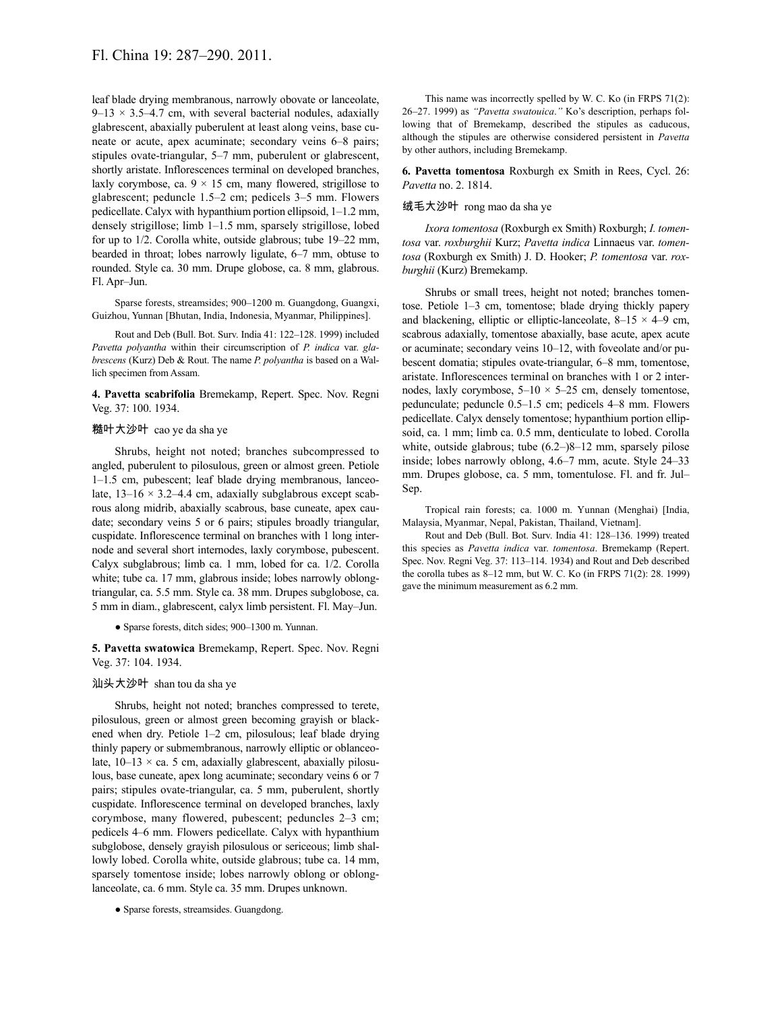leaf blade drying membranous, narrowly obovate or lanceolate,  $9-13 \times 3.5-4.7$  cm, with several bacterial nodules, adaxially glabrescent, abaxially puberulent at least along veins, base cuneate or acute, apex acuminate; secondary veins 6–8 pairs; stipules ovate-triangular, 5–7 mm, puberulent or glabrescent, shortly aristate. Inflorescences terminal on developed branches, laxly corymbose, ca.  $9 \times 15$  cm, many flowered, strigillose to glabrescent; peduncle 1.5–2 cm; pedicels 3–5 mm. Flowers pedicellate. Calyx with hypanthium portion ellipsoid, 1–1.2 mm, densely strigillose; limb 1–1.5 mm, sparsely strigillose, lobed for up to 1/2. Corolla white, outside glabrous; tube 19–22 mm, bearded in throat; lobes narrowly ligulate, 6–7 mm, obtuse to rounded. Style ca. 30 mm. Drupe globose, ca. 8 mm, glabrous. Fl. Apr–Jun.

Sparse forests, streamsides; 900–1200 m. Guangdong, Guangxi, Guizhou, Yunnan [Bhutan, India, Indonesia, Myanmar, Philippines].

Rout and Deb (Bull. Bot. Surv. India 41: 122–128. 1999) included *Pavetta polyantha* within their circumscription of *P. indica* var. *glabrescens* (Kurz) Deb & Rout. The name *P. polyantha* is based on a Wallich specimen from Assam.

**4. Pavetta scabrifolia** Bremekamp, Repert. Spec. Nov. Regni Veg. 37: 100. 1934.

## 糙叶大沙叶 cao ye da sha ye

Shrubs, height not noted; branches subcompressed to angled, puberulent to pilosulous, green or almost green. Petiole 1–1.5 cm, pubescent; leaf blade drying membranous, lanceolate,  $13-16 \times 3.2-4.4$  cm, adaxially subglabrous except scabrous along midrib, abaxially scabrous, base cuneate, apex caudate; secondary veins 5 or 6 pairs; stipules broadly triangular, cuspidate. Inflorescence terminal on branches with 1 long internode and several short internodes, laxly corymbose, pubescent. Calyx subglabrous; limb ca. 1 mm, lobed for ca. 1/2. Corolla white; tube ca. 17 mm, glabrous inside; lobes narrowly oblongtriangular, ca. 5.5 mm. Style ca. 38 mm. Drupes subglobose, ca. 5 mm in diam., glabrescent, calyx limb persistent. Fl. May–Jun.

● Sparse forests, ditch sides; 900–1300 m. Yunnan.

**5. Pavetta swatowica** Bremekamp, Repert. Spec. Nov. Regni Veg. 37: 104. 1934.

# 汕头大沙叶 shan tou da sha ye

Shrubs, height not noted; branches compressed to terete, pilosulous, green or almost green becoming grayish or blackened when dry. Petiole 1–2 cm, pilosulous; leaf blade drying thinly papery or submembranous, narrowly elliptic or oblanceolate,  $10-13 \times$  ca. 5 cm, adaxially glabrescent, abaxially pilosulous, base cuneate, apex long acuminate; secondary veins 6 or 7 pairs; stipules ovate-triangular, ca. 5 mm, puberulent, shortly cuspidate. Inflorescence terminal on developed branches, laxly corymbose, many flowered, pubescent; peduncles 2–3 cm; pedicels 4–6 mm. Flowers pedicellate. Calyx with hypanthium subglobose, densely grayish pilosulous or sericeous; limb shallowly lobed. Corolla white, outside glabrous; tube ca. 14 mm, sparsely tomentose inside; lobes narrowly oblong or oblonglanceolate, ca. 6 mm. Style ca. 35 mm. Drupes unknown.

● Sparse forests, streamsides. Guangdong.

This name was incorrectly spelled by W. C. Ko (in FRPS 71(2): 26–27. 1999) as *"Pavetta swatouica*.*"* Ko's description, perhaps following that of Bremekamp, described the stipules as caducous, although the stipules are otherwise considered persistent in *Pavetta* by other authors, including Bremekamp.

**6. Pavetta tomentosa** Roxburgh ex Smith in Rees, Cycl. 26: *Pavetta* no. 2. 1814.

#### 绒毛大沙叶 rong mao da sha ye

*Ixora tomentosa* (Roxburgh ex Smith) Roxburgh; *I. tomentosa* var. *roxburghii* Kurz; *Pavetta indica* Linnaeus var. *tomentosa* (Roxburgh ex Smith) J. D. Hooker; *P. tomentosa* var. *roxburghii* (Kurz) Bremekamp.

Shrubs or small trees, height not noted; branches tomentose. Petiole 1–3 cm, tomentose; blade drying thickly papery and blackening, elliptic or elliptic-lanceolate,  $8-15 \times 4-9$  cm, scabrous adaxially, tomentose abaxially, base acute, apex acute or acuminate; secondary veins 10–12, with foveolate and/or pubescent domatia; stipules ovate-triangular, 6–8 mm, tomentose, aristate. Inflorescences terminal on branches with 1 or 2 internodes, laxly corymbose,  $5-10 \times 5-25$  cm, densely tomentose, pedunculate; peduncle 0.5–1.5 cm; pedicels 4–8 mm. Flowers pedicellate. Calyx densely tomentose; hypanthium portion ellipsoid, ca. 1 mm; limb ca. 0.5 mm, denticulate to lobed. Corolla white, outside glabrous; tube (6.2–)8–12 mm, sparsely pilose inside; lobes narrowly oblong, 4.6–7 mm, acute. Style 24–33 mm. Drupes globose, ca. 5 mm, tomentulose. Fl. and fr. Jul– Sep.

Tropical rain forests; ca. 1000 m. Yunnan (Menghai) [India, Malaysia, Myanmar, Nepal, Pakistan, Thailand, Vietnam].

Rout and Deb (Bull. Bot. Surv. India 41: 128–136. 1999) treated this species as *Pavetta indica* var. *tomentosa*. Bremekamp (Repert. Spec. Nov. Regni Veg. 37: 113–114. 1934) and Rout and Deb described the corolla tubes as 8–12 mm, but W. C. Ko (in FRPS 71(2): 28. 1999) gave the minimum measurement as 6.2 mm.